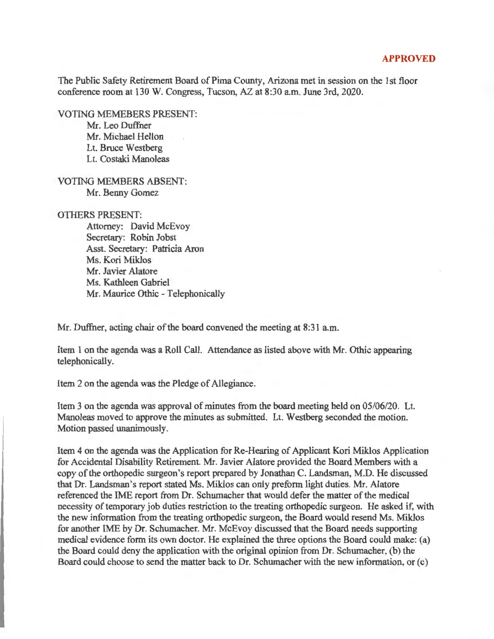## **APPROVED**

The Public Safety Retirement Board of Pima County, Arizona met in session on the 1st floor conference room at 130 W. Congress, Tucson, AZ at 8:30 a.m. June 3rd, 2020.

VOTING MEMEBERS PRESENT:

Mr. Leo Duffner Mr. Michael Hellon Lt. Bruce Westberg Lt. Costaki Manoleas

VOTING MEMBERS ABSENT: Mr. Benny Gomez

## OTHERS PRESENT:

Attorney: David McEvoy Secretary: Robin Jobst Asst. Secretary: Patricia Aron Ms. Kori Miklos Mr. Javier Alatore Ms. Kathleen Gabriel Mr. Maurice Othic - Telephonically

Mr. Duffner, acting chair of the board convened the meeting at 8:31 a.m.

Item 1 on the agenda was a Roll Call. Attendance as listed above with Mr. Othic appearing telephonically.

Item 2 on the agenda was the Pledge of Allegiance.

Item 3 on the agenda was approval of minutes from the board meeting held on 05/06/20. Lt. Manoleas moved to approve the minutes as submitted. Lt. Westberg seconded the motion. Motion passed unanimously.

Item 4 on the agenda was the Application for Re-Hearing of Applicant Kori Miklos Application for Accidental Disability Retirement. Mr. Javier Alatore provided the Board Members with a copy of the orthopedic surgeon's report prepared by Jonathan C. Landsman, M.D. He discussed that Dr. Landsman's report stated Ms. Miklos can only preform light duties. Mr. Alatore referenced the IME report from Dr. Schumacher that would defer the matter of the medical necessity of temporary job duties restriction to the treating orthopedic surgeon. He asked if, with the new information from the treating orthopedic surgeon, the Board would resend Ms. Miklos for another IME by Dr. Schumacher. Mr. McEvoy discussed that the Board needs supporting medical evidence form its own doctor. He explained the three options the Board could make: (a) the Board could deny the application with the original opinion from Dr. Schumacher, (b) the Board could choose to send the matter back to Dr. Schumacher with the new information, or (c)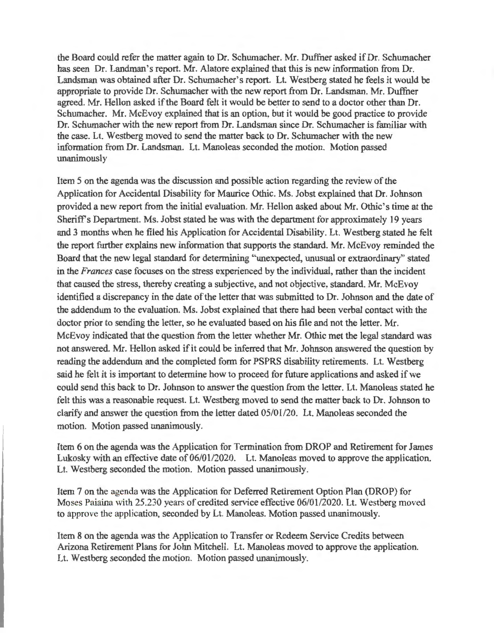the Board could refer the matter again to Dr. Schumacher. Mr. Duffner asked if Dr. Schumacher has seen Dr. Landman's report. Mr. Alatore explained that this is new information from Dr. Landsman was obtained after Dr. Schumacher's report. Lt. Westberg stated he feels it would be appropriate to provide Dr. Schumacher with the new report from Dr. Landsman. Mr. Duffner agreed. Mr. Hellon asked if the Board felt it would be better to send to a doctor other than Dr. Schumacher. Mr. McEvoy explained that is an option, but it would be good practice to provide Dr. Schumacher with the new report from Dr. Landsman since Dr. Schumacher is familiar with the case. Lt. Westberg moved to send the matter back to Dr. Schumacher with the new information from Dr. Landsman. Lt. Manoleas seconded the motion. Motion passed unanimously

Item 5 on the agenda was the discussion and possible action regarding the review of the Application for Accidental Disability for Maurice Othic. Ms. Jobst explained that Dr. Johnson provided a new report from the initial evaluation. Mr. Hellon asked about Mr. Othic's time at the Sheriff's Department. Ms. Jobst stated he was with the department for approximately 19 years and 3 months when he filed his Application for Accidental Disability. Lt. Westberg stated he felt the report further explains new information that supports the standard. Mr. McEvoy reminded the Board that the new legal standard for determining "unexpected, unusual or extraordinary" stated in the *Frances* case focuses on the stress experienced by the individual, rather than the incident that caused the stress, thereby creating a subjective, and not objective, standard. Mr. McEvoy identified a discrepancy in the date of the letter that was submitted to Dr. Johnson and the date of the addendum to the evaluation. Ms. Jobst explained that there had been verbal contact with the doctor prior to sending the letter, so he evaluated based on his file and not the letter. Mr. McEvoy indicated that the question from the letter whether Mr. Othic met the legal standard was not answered. Mr. Hellon asked if it could be inferred that Mr. Johnson answered the question by reading the addendum and the completed form for PSPRS disability retirements. Lt. Westberg said he felt it is important to determine how to proceed for future applications and asked if we could send this back to Dr. Johnson to answer the question from the letter. Lt. Manoleas stated he felt this was a reasonable request. Lt. Westberg moved to send the matter back to Dr. Johnson to clarify and answer the question from the letter dated 05/01/20. Lt. Manoleas seconded the motion. Motion passed unanimously.

Item 6 on the agenda was the Application for Termination from DROP and Retirement for James Lukosky with an effective date of 06/01/2020. Lt. Manoleas moved to approve the application. Lt. Westberg seconded the motion. Motion passed unanimously.

Item 7 on the agenda was the Application for Deferred Retirement Option Plan (DROP) for Moses Paiaina with 25.230 years of credited service effective 06/01/2020. Lt. Westberg moved to approve the application, seconded by Lt. Manoleas. Motion passed unanimously.

Item 8 on the agenda was the Application to Transfer or Redeem Service Credits between Arizona Retirement Plans for John Mitchell. Lt. Manoleas moved to approve the application. Lt. Westberg seconded the motion. Motion passed unanimously.